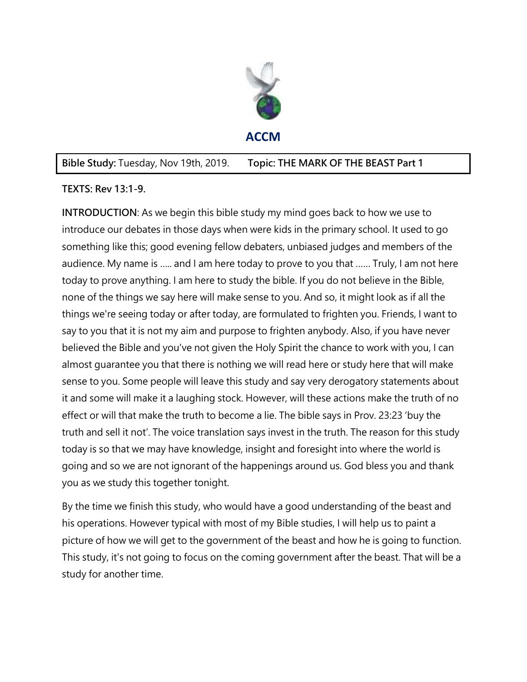

### **Bible Study:** Tuesday, Nov 19th, 2019. **Topic: THE MARK OF THE BEAST Part 1**

### **TEXTS: Rev 13:1-9.**

**INTRODUCTION**: As we begin this bible study my mind goes back to how we use to introduce our debates in those days when were kids in the primary school. It used to go something like this; good evening fellow debaters, unbiased judges and members of the audience. My name is ….. and I am here today to prove to you that …… Truly, I am not here today to prove anything. I am here to study the bible. If you do not believe in the Bible, none of the things we say here will make sense to you. And so, it might look as if all the things we're seeing today or after today, are formulated to frighten you. Friends, I want to say to you that it is not my aim and purpose to frighten anybody. Also, if you have never believed the Bible and you've not given the Holy Spirit the chance to work with you, I can almost guarantee you that there is nothing we will read here or study here that will make sense to you. Some people will leave this study and say very derogatory statements about it and some will make it a laughing stock. However, will these actions make the truth of no effect or will that make the truth to become a lie. The bible says in Prov. 23:23 'buy the truth and sell it not'. The voice translation says invest in the truth. The reason for this study today is so that we may have knowledge, insight and foresight into where the world is going and so we are not ignorant of the happenings around us. God bless you and thank you as we study this together tonight.

By the time we finish this study, who would have a good understanding of the beast and his operations. However typical with most of my Bible studies, I will help us to paint a picture of how we will get to the government of the beast and how he is going to function. This study, it's not going to focus on the coming government after the beast. That will be a study for another time.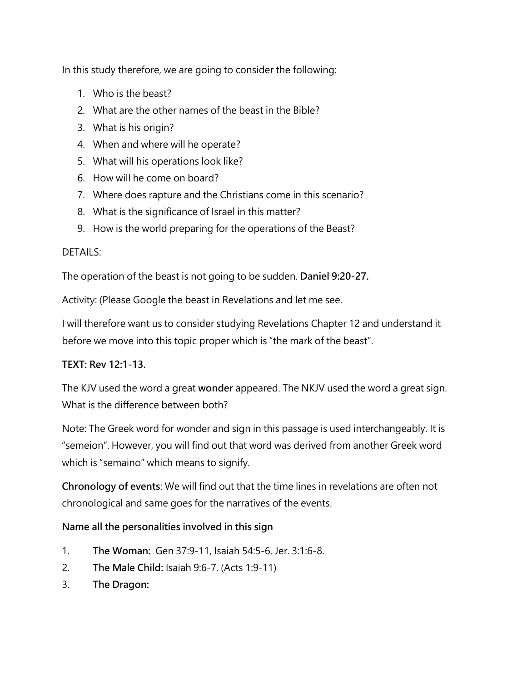In this study therefore, we are going to consider the following:

- 1. Who is the beast?
- 2. What are the other names of the beast in the Bible?
- 3. What is his origin?
- 4. When and where will he operate?
- 5. What will his operations look like?
- 6. How will he come on board?
- 7. Where does rapture and the Christians come in this scenario?
- 8. What is the significance of Israel in this matter?
- 9. How is the world preparing for the operations of the Beast?

#### DETAILS:

The operation of the beast is not going to be sudden. **Daniel 9:20-27.**

Activity: (Please Google the beast in Revelations and let me see.

I will therefore want us to consider studying Revelations Chapter 12 and understand it before we move into this topic proper which is "the mark of the beast".

### **TEXT: Rev 12:1-13.**

The KJV used the word a great **wonder** appeared. The NKJV used the word a great sign. What is the difference between both?

Note: The Greek word for wonder and sign in this passage is used interchangeably. It is "semeion". However, you will find out that word was derived from another Greek word which is "semaino" which means to signify.

**Chronology of events**: We will find out that the time lines in revelations are often not chronological and same goes for the narratives of the events.

### **Name all the personalities involved in this sign**

- 1. **The Woman:** Gen 37:9-11, Isaiah 54:5-6. Jer. 3:1:6-8.
- 2. **The Male Child:** Isaiah 9:6-7. (Acts 1:9-11)
- 3. **The Dragon:**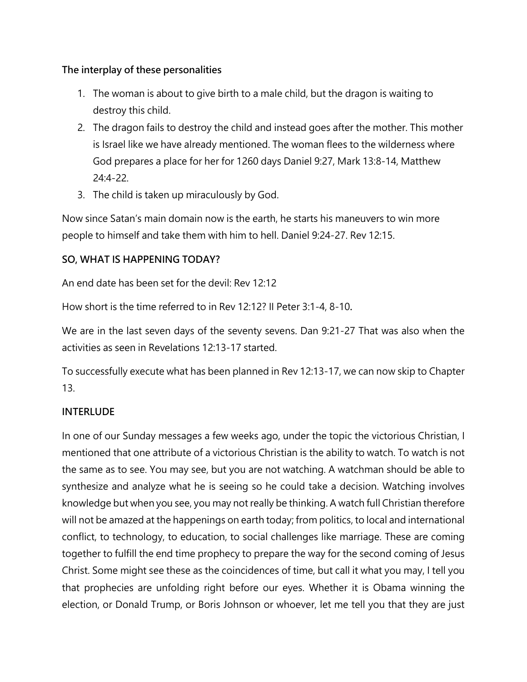## **The interplay of these personalities**

- 1. The woman is about to give birth to a male child, but the dragon is waiting to destroy this child.
- 2. The dragon fails to destroy the child and instead goes after the mother. This mother is Israel like we have already mentioned. The woman flees to the wilderness where God prepares a place for her for 1260 days Daniel 9:27, Mark 13:8-14, Matthew 24:4-22.
- 3. The child is taken up miraculously by God.

Now since Satan's main domain now is the earth, he starts his maneuvers to win more people to himself and take them with him to hell. Daniel 9:24-27. Rev 12:15.

# **SO, WHAT IS HAPPENING TODAY?**

An end date has been set for the devil: Rev 12:12

How short is the time referred to in Rev 12:12? II Peter 3:1-4, 8-10**.**

We are in the last seven days of the seventy sevens. Dan 9:21-27 That was also when the activities as seen in Revelations 12:13-17 started.

To successfully execute what has been planned in Rev 12:13-17, we can now skip to Chapter 13.

# **INTERLUDE**

In one of our Sunday messages a few weeks ago, under the topic the victorious Christian, I mentioned that one attribute of a victorious Christian is the ability to watch. To watch is not the same as to see. You may see, but you are not watching. A watchman should be able to synthesize and analyze what he is seeing so he could take a decision. Watching involves knowledge but when you see, you may not really be thinking. A watch full Christian therefore will not be amazed at the happenings on earth today; from politics, to local and international conflict, to technology, to education, to social challenges like marriage. These are coming together to fulfill the end time prophecy to prepare the way for the second coming of Jesus Christ. Some might see these as the coincidences of time, but call it what you may, I tell you that prophecies are unfolding right before our eyes. Whether it is Obama winning the election, or Donald Trump, or Boris Johnson or whoever, let me tell you that they are just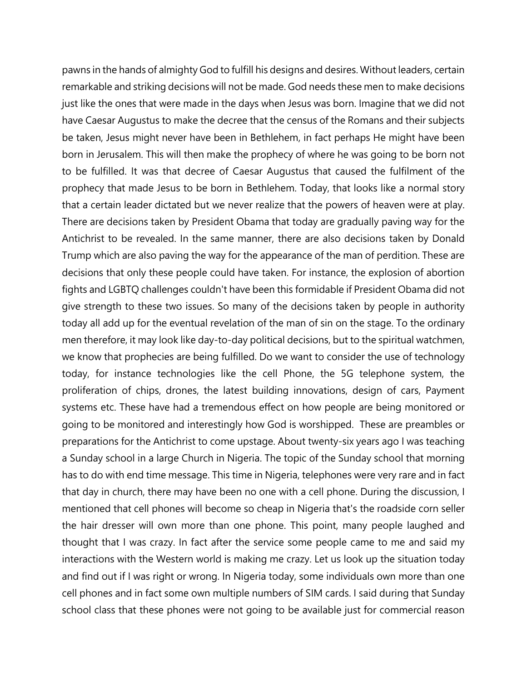pawns in the hands of almighty God to fulfill his designs and desires. Without leaders, certain remarkable and striking decisions will not be made. God needs these men to make decisions just like the ones that were made in the days when Jesus was born. Imagine that we did not have Caesar Augustus to make the decree that the census of the Romans and their subjects be taken, Jesus might never have been in Bethlehem, in fact perhaps He might have been born in Jerusalem. This will then make the prophecy of where he was going to be born not to be fulfilled. It was that decree of Caesar Augustus that caused the fulfilment of the prophecy that made Jesus to be born in Bethlehem. Today, that looks like a normal story that a certain leader dictated but we never realize that the powers of heaven were at play. There are decisions taken by President Obama that today are gradually paving way for the Antichrist to be revealed. In the same manner, there are also decisions taken by Donald Trump which are also paving the way for the appearance of the man of perdition. These are decisions that only these people could have taken. For instance, the explosion of abortion fights and LGBTQ challenges couldn't have been this formidable if President Obama did not give strength to these two issues. So many of the decisions taken by people in authority today all add up for the eventual revelation of the man of sin on the stage. To the ordinary men therefore, it may look like day-to-day political decisions, but to the spiritual watchmen, we know that prophecies are being fulfilled. Do we want to consider the use of technology today, for instance technologies like the cell Phone, the 5G telephone system, the proliferation of chips, drones, the latest building innovations, design of cars, Payment systems etc. These have had a tremendous effect on how people are being monitored or going to be monitored and interestingly how God is worshipped. These are preambles or preparations for the Antichrist to come upstage. About twenty-six years ago I was teaching a Sunday school in a large Church in Nigeria. The topic of the Sunday school that morning has to do with end time message. This time in Nigeria, telephones were very rare and in fact that day in church, there may have been no one with a cell phone. During the discussion, I mentioned that cell phones will become so cheap in Nigeria that's the roadside corn seller the hair dresser will own more than one phone. This point, many people laughed and thought that I was crazy. In fact after the service some people came to me and said my interactions with the Western world is making me crazy. Let us look up the situation today and find out if I was right or wrong. In Nigeria today, some individuals own more than one cell phones and in fact some own multiple numbers of SIM cards. I said during that Sunday school class that these phones were not going to be available just for commercial reason